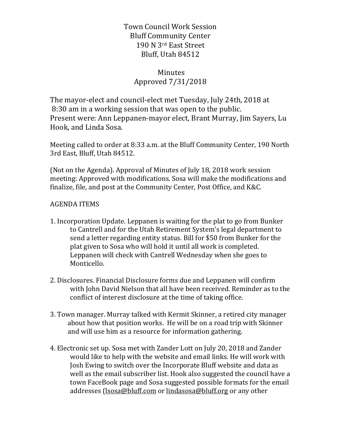Town Council Work Session Bluff Community Center 190 N 3rd East Street Bluff, Utah 84512

## Minutes Approved 7/31/2018

The mayor-elect and council-elect met Tuesday, July 24th, 2018 at 8:30 am in a working session that was open to the public. Present were: Ann Leppanen-mayor elect, Brant Murray, Jim Sayers, Lu Hook, and Linda Sosa.

Meeting called to order at 8:33 a.m. at the Bluff Community Center, 190 North 3rd East, Bluff, Utah 84512.

(Not on the Agenda). Approval of Minutes of July 18, 2018 work session meeting: Approved with modifications. Sosa will make the modifications and finalize, file, and post at the Community Center, Post Office, and K&C.

## **AGENDA ITEMS**

- 1. Incorporation Update. Leppanen is waiting for the plat to go from Bunker to Cantrell and for the Utah Retirement System's legal department to send a letter regarding entity status. Bill for \$50 from Bunker for the plat given to Sosa who will hold it until all work is completed. Leppanen will check with Cantrell Wednesday when she goes to Monticello.
- 2. Disclosures. Financial Disclosure forms due and Leppanen will confirm with John David Nielson that all have been received. Reminder as to the conflict of interest disclosure at the time of taking office.
- 3. Town manager. Murray talked with Kermit Skinner, a retired city manager about how that position works. He will be on a road trip with Skinner and will use him as a resource for information gathering.
- 4. Electronic set up. Sosa met with Zander Lott on July 20, 2018 and Zander would like to help with the website and email links. He will work with Josh Ewing to switch over the Incorporate Bluff website and data as well as the email subscriber list. Hook also suggested the council have a town FaceBook page and Sosa suggested possible formats for the email addresses (lsosa@bluff.com or lindasosa@bluff.org or any other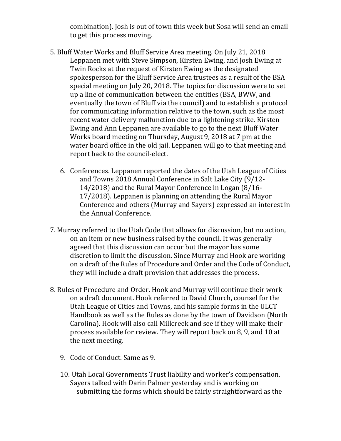combination). Josh is out of town this week but Sosa will send an email to get this process moving.

- 5. Bluff Water Works and Bluff Service Area meeting. On July 21, 2018 Leppanen met with Steve Simpson, Kirsten Ewing, and Josh Ewing at Twin Rocks at the request of Kirsten Ewing as the designated spokesperson for the Bluff Service Area trustees as a result of the BSA special meeting on July 20, 2018. The topics for discussion were to set up a line of communication between the entities (BSA, BWW, and eventually the town of Bluff via the council) and to establish a protocol for communicating information relative to the town, such as the most recent water delivery malfunction due to a lightening strike. Kirsten Ewing and Ann Leppanen are available to go to the next Bluff Water Works board meeting on Thursday, August 9, 2018 at 7 pm at the water board office in the old jail. Leppanen will go to that meeting and report back to the council-elect.
	- 6. Conferences. Leppanen reported the dates of the Utah League of Cities and Towns 2018 Annual Conference in Salt Lake City (9/12- $14/2018$  and the Rural Mayor Conference in Logan  $(8/16-K)$  $17/2018$ ). Leppanen is planning on attending the Rural Mayor Conference and others (Murray and Sayers) expressed an interest in the Annual Conference.
- 7. Murray referred to the Utah Code that allows for discussion, but no action, on an item or new business raised by the council. It was generally agreed that this discussion can occur but the mayor has some discretion to limit the discussion. Since Murray and Hook are working on a draft of the Rules of Procedure and Order and the Code of Conduct, they will include a draft provision that addresses the process.
- 8. Rules of Procedure and Order. Hook and Murray will continue their work on a draft document. Hook referred to David Church, counsel for the Utah League of Cities and Towns, and his sample forms in the ULCT Handbook as well as the Rules as done by the town of Davidson (North Carolina). Hook will also call Millcreek and see if they will make their process available for review. They will report back on 8, 9, and 10 at the next meeting.
	- 9. Code of Conduct. Same as 9.
	- 10. Utah Local Governments Trust liability and worker's compensation. Sayers talked with Darin Palmer yesterday and is working on submitting the forms which should be fairly straightforward as the